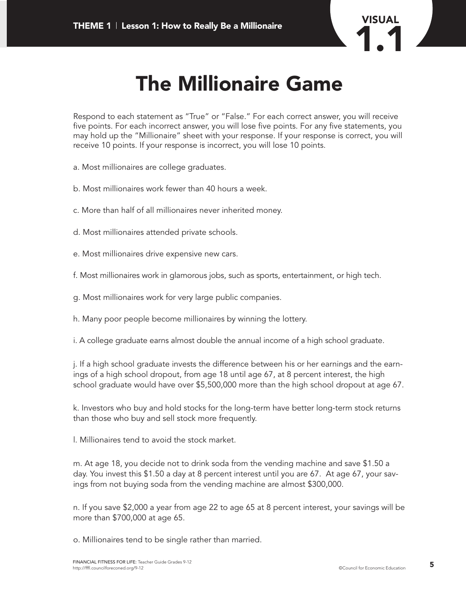

## **The Millionaire Game**

Respond to each statement as "True" or "False." For each correct answer, you will receive five points. For each incorrect answer, you will lose five points. For any five statements, you may hold up the "Millionaire" sheet with your response. If your response is correct, you will receive 10 points. If your response is incorrect, you will lose 10 points.

- a. Most millionaires are college graduates.
- b. Most millionaires work fewer than 40 hours a week.
- c. More than half of all millionaires never inherited money.
- d. Most millionaires attended private schools.
- e. Most millionaires drive expensive new cars.
- f. Most millionaires work in glamorous jobs, such as sports, entertainment, or high tech.
- g. Most millionaires work for very large public companies.
- h. Many poor people become millionaires by winning the lottery.
- i. A college graduate earns almost double the annual income of a high school graduate.

j. If a high school graduate invests the difference between his or her earnings and the earnings of a high school dropout, from age 18 until age 67, at 8 percent interest, the high school graduate would have over \$5,500,000 more than the high school dropout at age 67.

k. Investors who buy and hold stocks for the long-term have better long-term stock returns than those who buy and sell stock more frequently.

l. Millionaires tend to avoid the stock market.

m. At age 18, you decide not to drink soda from the vending machine and save \$1.50 a day. You invest this \$1.50 a day at 8 percent interest until you are 67. At age 67, your savings from not buying soda from the vending machine are almost \$300,000.

n. If you save \$2,000 a year from age 22 to age 65 at 8 percent interest, your savings will be more than \$700,000 at age 65.

o. Millionaires tend to be single rather than married.